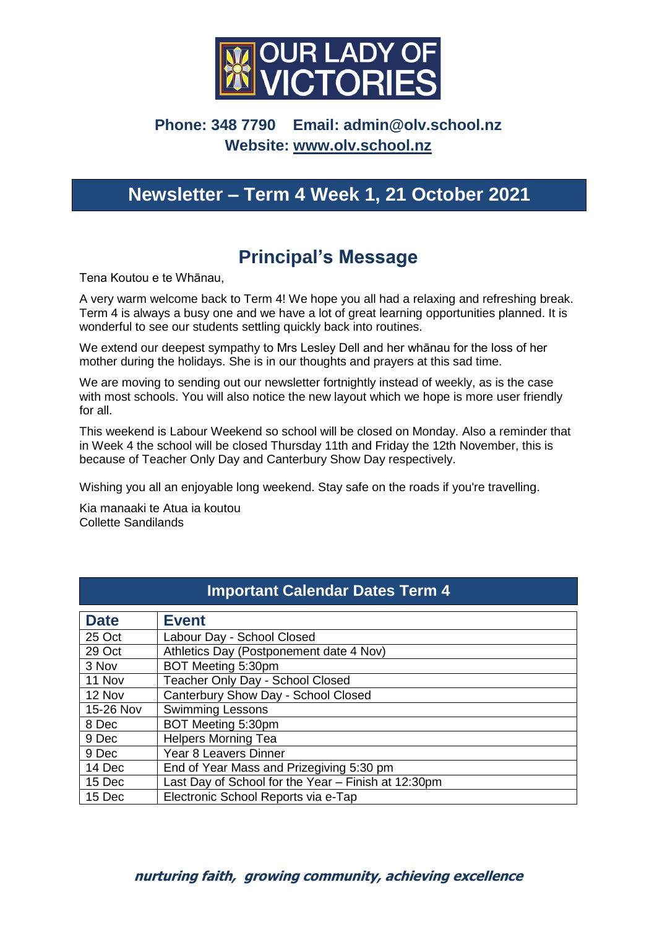

## **Phone: 348 7790 Email: [admin@olv.school.nz](mailto:admin@olv.school.nz)  Website: [www.olv.school.nz](http://www.olv.school.nz/)**

# **Newsletter – Term 4 Week 1, 21 October 2021**

# **Principal's Message**

Tena Koutou e te Whānau,

A very warm welcome back to Term 4! We hope you all had a relaxing and refreshing break. Term 4 is always a busy one and we have a lot of great learning opportunities planned. It is wonderful to see our students settling quickly back into routines.

We extend our deepest sympathy to Mrs Lesley Dell and her whānau for the loss of her mother during the holidays. She is in our thoughts and prayers at this sad time.

We are moving to sending out our newsletter fortnightly instead of weekly, as is the case with most schools. You will also notice the new layout which we hope is more user friendly for all.

This weekend is Labour Weekend so school will be closed on Monday. Also a reminder that in Week 4 the school will be closed Thursday 11th and Friday the 12th November, this is because of Teacher Only Day and Canterbury Show Day respectively.

Wishing you all an enjoyable long weekend. Stay safe on the roads if you're travelling.

Kia manaaki te Atua ia koutou Collette Sandilands

| <b>Important Calendar Dates Term 4</b> |                                                     |
|----------------------------------------|-----------------------------------------------------|
| <b>Date</b>                            | <b>Event</b>                                        |
| 25 Oct                                 | Labour Day - School Closed                          |
| 29 Oct                                 | Athletics Day (Postponement date 4 Nov)             |
| 3 Nov                                  | BOT Meeting 5:30pm                                  |
| 11 Nov                                 | Teacher Only Day - School Closed                    |
| 12 Nov                                 | Canterbury Show Day - School Closed                 |
| 15-26 Nov                              | <b>Swimming Lessons</b>                             |
| 8 Dec                                  | BOT Meeting 5:30pm                                  |
| 9 Dec                                  | <b>Helpers Morning Tea</b>                          |
| 9 Dec                                  | <b>Year 8 Leavers Dinner</b>                        |
| 14 Dec                                 | End of Year Mass and Prizegiving 5:30 pm            |
| 15 Dec                                 | Last Day of School for the Year - Finish at 12:30pm |
| 15 Dec                                 | Electronic School Reports via e-Tap                 |

#### **nurturing faith, growing community, achieving excellence**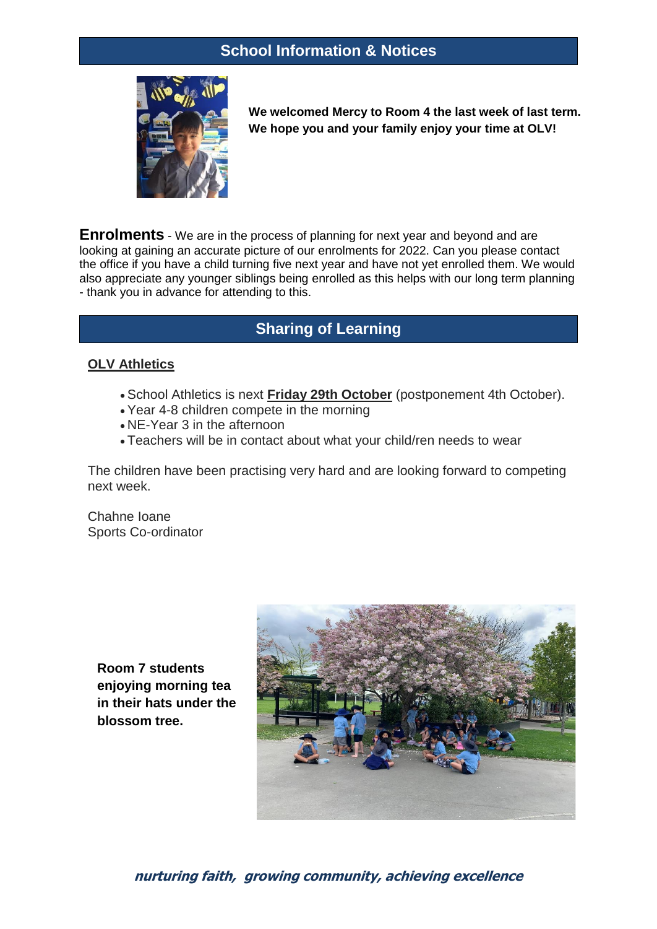

**We welcomed Mercy to Room 4 the last week of last term. We hope you and your family enjoy your time at OLV!**

**Enrolments** - We are in the process of planning for next year and beyond and are looking at gaining an accurate picture of our enrolments for 2022. Can you please contact the office if you have a child turning five next year and have not yet enrolled them. We would also appreciate any younger siblings being enrolled as this helps with our long term planning - thank you in advance for attending to this.

### **Sharing of Learning**

#### **OLV Athletics**

- School Athletics is next **Friday 29th October** (postponement 4th October).
- Year 4-8 children compete in the morning
- NE-Year 3 in the afternoon
- Teachers will be in contact about what your child/ren needs to wear

The children have been practising very hard and are looking forward to competing next week.

Chahne Ioane Sports Co-ordinator

**Room 7 students enjoying morning tea in their hats under the blossom tree.**



### **nurturing faith, growing community, achieving excellence**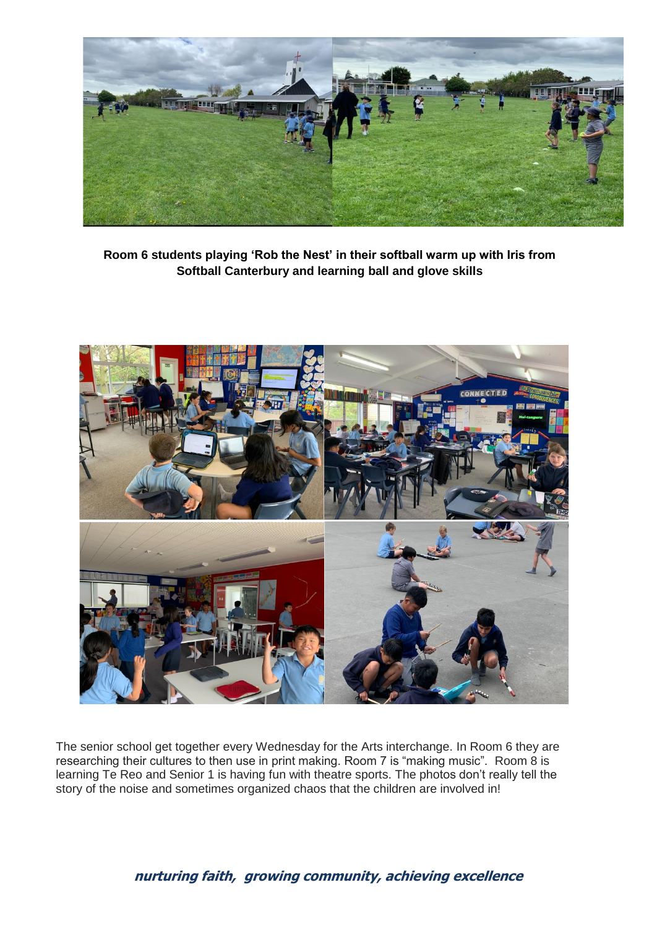

**Room 6 students playing 'Rob the Nest' in their softball warm up with Iris from Softball Canterbury and learning ball and glove skills**



The senior school get together every Wednesday for the Arts interchange. In Room 6 they are researching their cultures to then use in print making. Room 7 is "making music". Room 8 is learning Te Reo and Senior 1 is having fun with theatre sports. The photos don't really tell the story of the noise and sometimes organized chaos that the children are involved in!

#### **nurturing faith, growing community, achieving excellence**